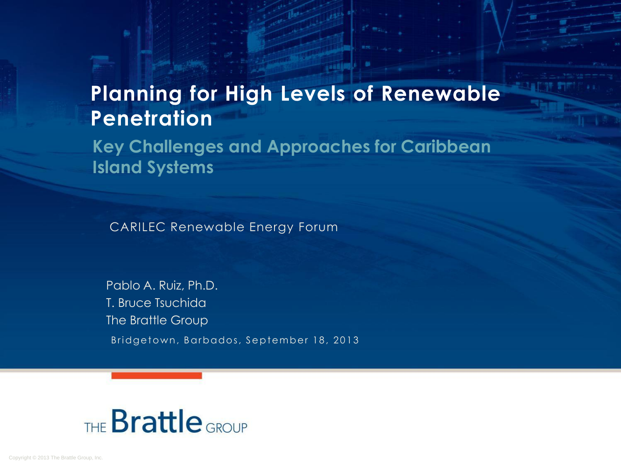## **Planning for High Levels of Renewable Penetration**

**Key Challenges and Approaches for Caribbean Island Systems**

CARILEC Renewable Energy Forum

Pablo A. Ruiz, Ph.D. T. Bruce Tsuchida The Brattle Group Bridgetown, Barbados, September 18, 2013

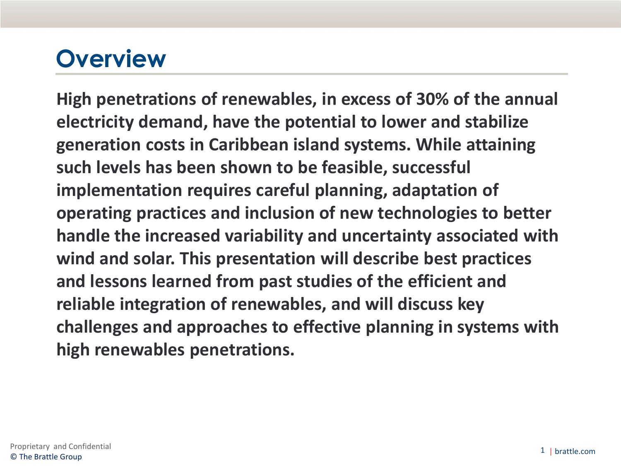## **Overview**

**High penetrations of renewables, in excess of 30% of the annual electricity demand, have the potential to lower and stabilize generation costs in Caribbean island systems. While attaining such levels has been shown to be feasible, successful implementation requires careful planning, adaptation of operating practices and inclusion of new technologies to better handle the increased variability and uncertainty associated with wind and solar. This presentation will describe best practices and lessons learned from past studies of the efficient and reliable integration of renewables, and will discuss key challenges and approaches to effective planning in systems with high renewables penetrations.**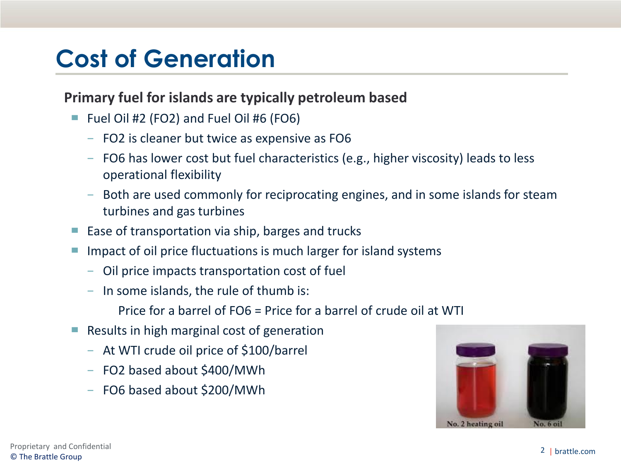## **Cost of Generation**

## **Primary fuel for islands are typically petroleum based**

- Fuel Oil  $#2$  (FO2) and Fuel Oil  $#6$  (FO6)
	- − FO2 is cleaner but twice as expensive as FO6
	- − FO6 has lower cost but fuel characteristics (e.g., higher viscosity) leads to less operational flexibility
	- − Both are used commonly for reciprocating engines, and in some islands for steam turbines and gas turbines
- Ease of transportation via ship, barges and trucks
- Impact of oil price fluctuations is much larger for island systems
	- − Oil price impacts transportation cost of fuel
	- − In some islands, the rule of thumb is:
		- Price for a barrel of FO6 = Price for a barrel of crude oil at WTI
- $\blacksquare$  Results in high marginal cost of generation
	- − At WTI crude oil price of \$100/barrel
	- − FO2 based about \$400/MWh
	- − FO6 based about \$200/MWh

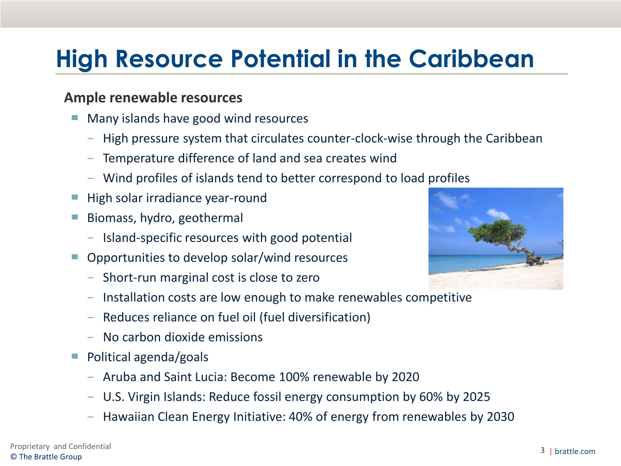# **High Resource Potential in the Caribbean**

#### **Ample renewable resources**

- Many islands have good wind resources
	- − High pressure system that circulates counter-clock-wise through the Caribbean
	- − Temperature difference of land and sea creates wind
	- − Wind profiles of islands tend to better correspond to load profiles
- High solar irradiance year-round
- Biomass, hydro, geothermal
	- − Island-specific resources with good potential
- Opportunities to develop solar/wind resources
	- − Short-run marginal cost is close to zero
	- − Installation costs are low enough to make renewables competitive
	- − Reduces reliance on fuel oil (fuel diversification)
	- − No carbon dioxide emissions
- Political agenda/goals
	- − Aruba and Saint Lucia: Become 100% renewable by 2020
	- − U.S. Virgin Islands: Reduce fossil energy consumption by 60% by 2025
	- − Hawaiian Clean Energy Initiative: 40% of energy from renewables by 2030

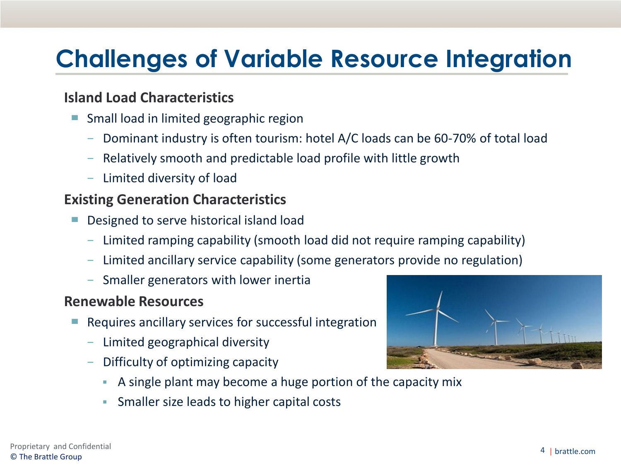# **Challenges of Variable Resource Integration**

## **Island Load Characteristics**

- Small load in limited geographic region
	- − Dominant industry is often tourism: hotel A/C loads can be 60-70% of total load
	- − Relatively smooth and predictable load profile with little growth
	- − Limited diversity of load

### **Existing Generation Characteristics**

- Designed to serve historical island load
	- − Limited ramping capability (smooth load did not require ramping capability)
	- − Limited ancillary service capability (some generators provide no regulation)
	- − Smaller generators with lower inertia

#### **Renewable Resources**

- Requires ancillary services for successful integration
	- − Limited geographical diversity
	- Difficulty of optimizing capacity
		- A single plant may become a huge portion of the capacity mix
		- **Smaller size leads to higher capital costs**

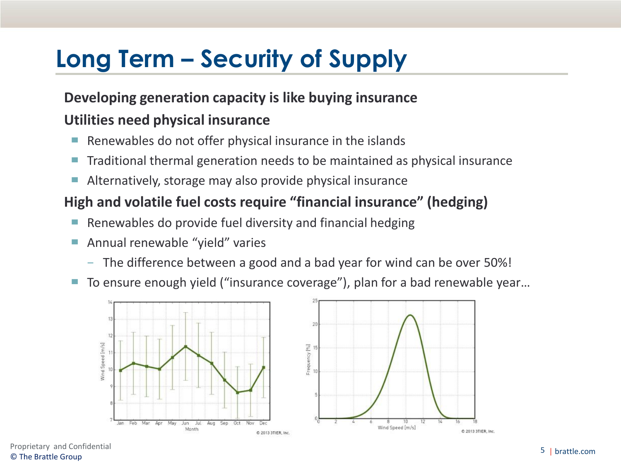# **Long Term – Security of Supply**

## **Developing generation capacity is like buying insurance**

### **Utilities need physical insurance**

- Renewables do not offer physical insurance in the islands
- Traditional thermal generation needs to be maintained as physical insurance
- Alternatively, storage may also provide physical insurance

## **High and volatile fuel costs require "financial insurance" (hedging)**

- Renewables do provide fuel diversity and financial hedging
- Annual renewable "yield" varies
	- − The difference between a good and a bad year for wind can be over 50%!
- To ensure enough yield ("insurance coverage"), plan for a bad renewable year...



Proprietary and Confidential<br>
The Prottle Crown by the United States on the United States on the United States on the Prottle.com © The Brattle Group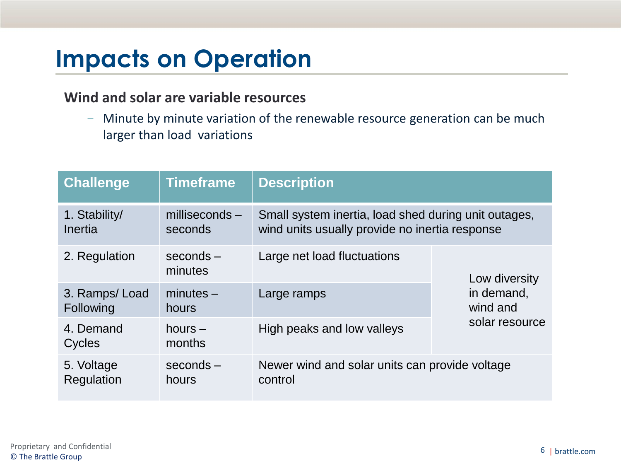# **Impacts on Operation**

#### **Wind and solar are variable resources**

− Minute by minute variation of the renewable resource generation can be much larger than load variations

| <b>Challenge</b>           | <b>Timeframe</b>         | <b>Description</b>                                                                                     |                                                           |  |
|----------------------------|--------------------------|--------------------------------------------------------------------------------------------------------|-----------------------------------------------------------|--|
| 1. Stability/<br>Inertia   | $millise conds -seconds$ | Small system inertia, load shed during unit outages,<br>wind units usually provide no inertia response |                                                           |  |
| 2. Regulation              | $seconds -$<br>minutes   | Large net load fluctuations                                                                            | Low diversity<br>in demand,<br>wind and<br>solar resource |  |
| 3. Ramps/Load<br>Following | $minutes -$<br>hours     | Large ramps                                                                                            |                                                           |  |
| 4. Demand<br>Cycles        | hours $-$<br>months      | High peaks and low valleys                                                                             |                                                           |  |
| 5. Voltage<br>Regulation   | $seconds -$<br>hours     | Newer wind and solar units can provide voltage<br>control                                              |                                                           |  |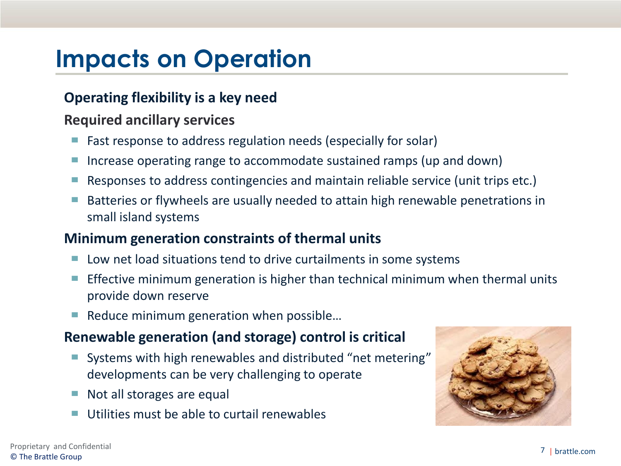# **Impacts on Operation**

## **Operating flexibility is a key need**

### **Required ancillary services**

- Fast response to address regulation needs (especially for solar)
- Increase operating range to accommodate sustained ramps (up and down)
- Responses to address contingencies and maintain reliable service (unit trips etc.)
- Batteries or flywheels are usually needed to attain high renewable penetrations in small island systems

### **Minimum generation constraints of thermal units**

- Low net load situations tend to drive curtailments in some systems
- $\blacksquare$  Effective minimum generation is higher than technical minimum when thermal units provide down reserve
- Reduce minimum generation when possible...

## **Renewable generation (and storage) control is critical**

- Systems with high renewables and distributed "net metering" developments can be very challenging to operate
- Not all storages are equal
- Utilities must be able to curtail renewables

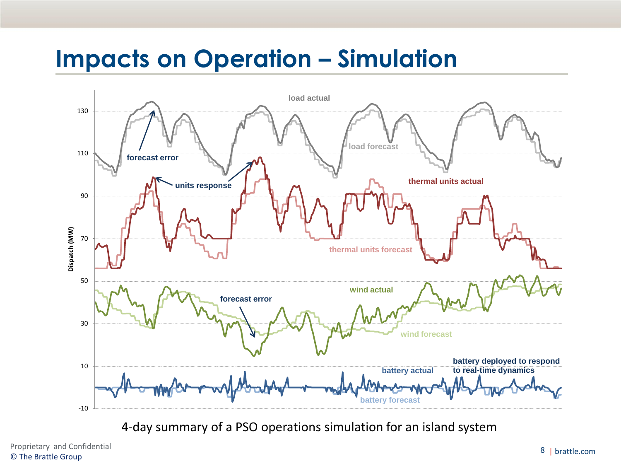## **Impacts on Operation – Simulation**



4-day summary of a PSO operations simulation for an island system

Proprietary and Confidential 2008 and Confidential 2008 and Confidential 2008 and Confidential 2008 and Confidential 2008 and Confidential 2009 and Confidential 2009 and Confidential 2009 and Confidential 2009 and 2009 and © The Brattle Group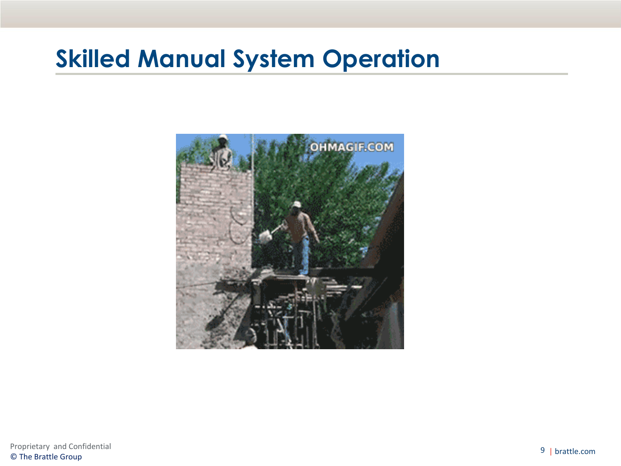## **Skilled Manual System Operation**

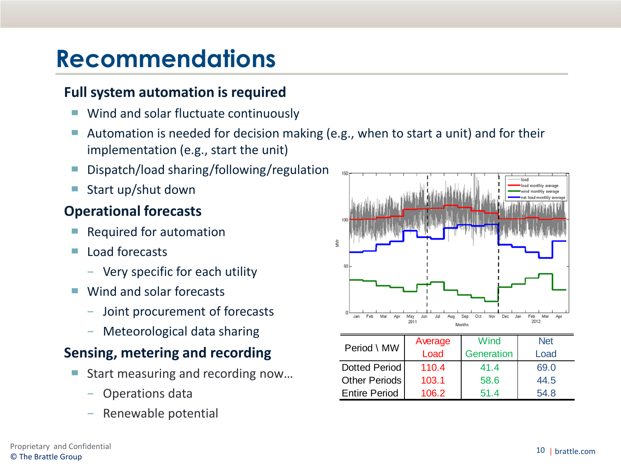## **Recommendations**

### **Full system automation is required**

- Wind and solar fluctuate continuously
- Automation is needed for decision making (e.g., when to start a unit) and for their implementation (e.g., start the unit)
- Dispatch/load sharing/following/regulation
- Start up/shut down

## **Operational forecasts**

- Required for automation
- Load forecasts
	- − Very specific for each utility
- Wind and solar forecasts
	- − Joint procurement of forecasts
	- − Meteorological data sharing

## **Sensing, metering and recording**

- Start measuring and recording now...
	- − Operations data
	-



| <b>INCREDIONICAL GARD JUAN 115</b> | Period \ MW          | Average | Wind       | <b>Net</b> |
|------------------------------------|----------------------|---------|------------|------------|
| sing, metering and recording       |                      | Load    | Generation | Load       |
|                                    | Dotted Period        | 110.4   | 41.4       | 69.0       |
| Start measuring and recording now  | Other Periods        | 103.1   | 58.6       | 44.5       |
| - Operations data                  | <b>Entire Period</b> | 106.2   | 51.4       | 54.8       |
| - Renewable potential              |                      |         |            |            |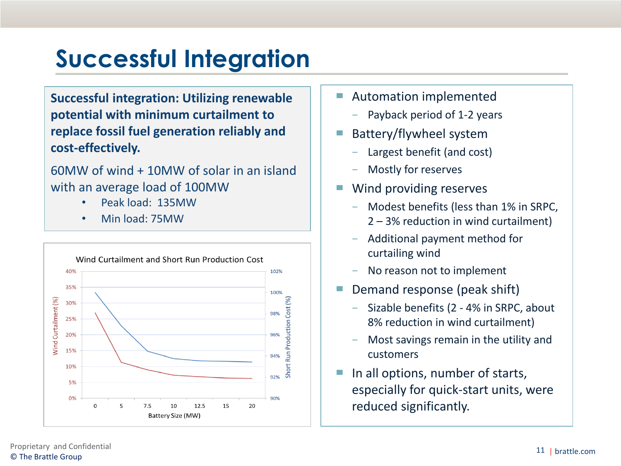# **Successful Integration**

**Successful integration: Utilizing renewable potential with minimum curtailment to replace fossil fuel generation reliably and cost-effectively.** 

60MW of wind + 10MW of solar in an island with an average load of 100MW

- Peak load: 135MW
- Min load: 75MW



- Automation implemented
	- Payback period of 1-2 years
- Battery/flywheel system
	- Largest benefit (and cost)
	- − Mostly for reserves
- Wind providing reserves
	- − Modest benefits (less than 1% in SRPC, 2 – 3% reduction in wind curtailment)
	- − Additional payment method for curtailing wind
	- − No reason not to implement
- Demand response (peak shift)
	- − Sizable benefits (2 4% in SRPC, about 8% reduction in wind curtailment)
	- − Most savings remain in the utility and customers
- In all options, number of starts, especially for quick-start units, were reduced significantly.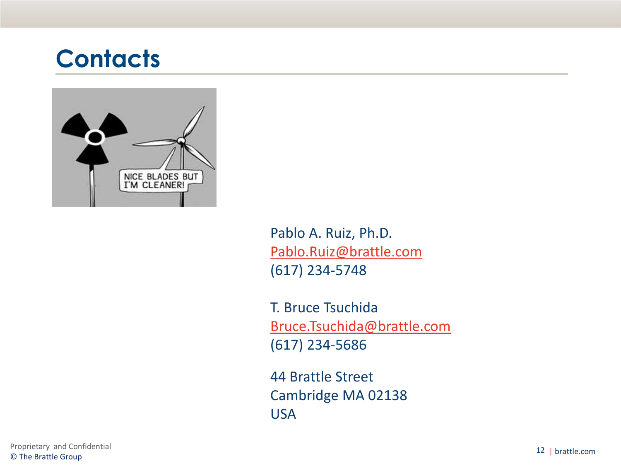## **Contacts**



Pablo A. Ruiz, Ph.D. [Pablo.Ruiz@brattle.com](mailto:Pablo.Ruiz@brattle.com) (617) 234-5748

T. Bruce Tsuchida [Bruce.Tsuchida@brattle.com](mailto:Pablo.Ruiz@brattle.com) (617) 234-5686

44 Brattle Street Cambridge MA 02138 USA